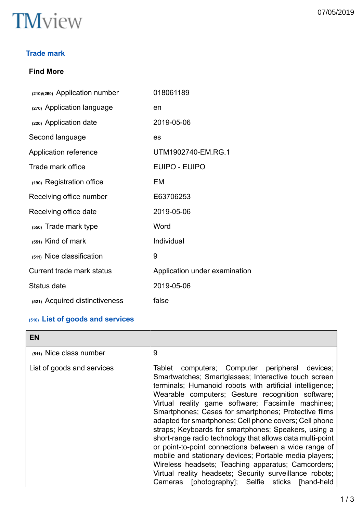

### **Trade mark**

# **Find More**

| (210)/(260) Application number | 018061189                     |
|--------------------------------|-------------------------------|
| (270) Application language     | en                            |
| (220) Application date         | 2019-05-06                    |
| Second language                | es                            |
| Application reference          | UTM1902740-EM.RG.1            |
| Trade mark office              | EUIPO - EUIPO                 |
| (190) Registration office      | EM                            |
| Receiving office number        | E63706253                     |
| Receiving office date          | 2019-05-06                    |
| (550) Trade mark type          | Word                          |
| $(551)$ Kind of mark           | Individual                    |
| (511) Nice classification      | 9                             |
| Current trade mark status      | Application under examination |
| Status date                    | 2019-05-06                    |
| (521) Acquired distinctiveness | false                         |

# **(510) List of goods and services**

| <b>EN</b>                  |                                                                                                                                                                                                                                                                                                                                                                                                                                                                                                                                                                                                                                                                                                                                                                                                                   |
|----------------------------|-------------------------------------------------------------------------------------------------------------------------------------------------------------------------------------------------------------------------------------------------------------------------------------------------------------------------------------------------------------------------------------------------------------------------------------------------------------------------------------------------------------------------------------------------------------------------------------------------------------------------------------------------------------------------------------------------------------------------------------------------------------------------------------------------------------------|
| (511) Nice class number    | 9                                                                                                                                                                                                                                                                                                                                                                                                                                                                                                                                                                                                                                                                                                                                                                                                                 |
| List of goods and services | computers; Computer peripheral devices;<br>Tablet<br>Smartwatches; Smartglasses; Interactive touch screen<br>terminals; Humanoid robots with artificial intelligence;<br>Wearable computers; Gesture recognition software;<br>Virtual reality game software; Facsimile machines;<br>Smartphones; Cases for smartphones; Protective films<br>adapted for smartphones; Cell phone covers; Cell phone<br>straps; Keyboards for smartphones; Speakers, using a<br>short-range radio technology that allows data multi-point<br>or point-to-point connections between a wide range of<br>mobile and stationary devices; Portable media players;<br>Wireless headsets; Teaching apparatus; Camcorders;<br>Virtual reality headsets; Security surveillance robots;<br>[photography]; Selfie sticks [hand-held<br>Cameras |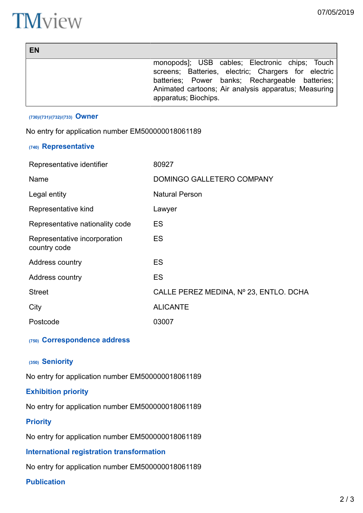# **TM**view

| <b>EN</b> |                                                                              |
|-----------|------------------------------------------------------------------------------|
|           | monopods]; USB cables; Electronic chips; Touch                               |
|           | screens; Batteries, electric; Chargers for electric                          |
|           | batteries; Power banks; Rechargeable batteries;                              |
|           | Animated cartoons; Air analysis apparatus; Measuring<br>apparatus; Biochips. |
|           |                                                                              |

#### **(730)/(731)/(732)/(733) Owner**

No entry for application number EM500000018061189

#### **(740) Representative**

| Representative identifier                    | 80927                                  |
|----------------------------------------------|----------------------------------------|
| Name                                         | DOMINGO GALLETERO COMPANY              |
| Legal entity                                 | <b>Natural Person</b>                  |
| Representative kind                          | Lawyer                                 |
| Representative nationality code              | ES                                     |
| Representative incorporation<br>country code | ES                                     |
| Address country                              | ES                                     |
| Address country                              | <b>ES</b>                              |
| <b>Street</b>                                | CALLE PEREZ MEDINA, Nº 23, ENTLO. DCHA |
| City                                         | <b>ALICANTE</b>                        |
| Postcode                                     | 03007                                  |

#### **(750) Correspondence address**

#### **(350) Seniority**

No entry for application number EM500000018061189

#### **Exhibition priority**

No entry for application number EM500000018061189

#### **Priority**

No entry for application number EM500000018061189

# **International registration transformation**

No entry for application number EM500000018061189

# **Publication**